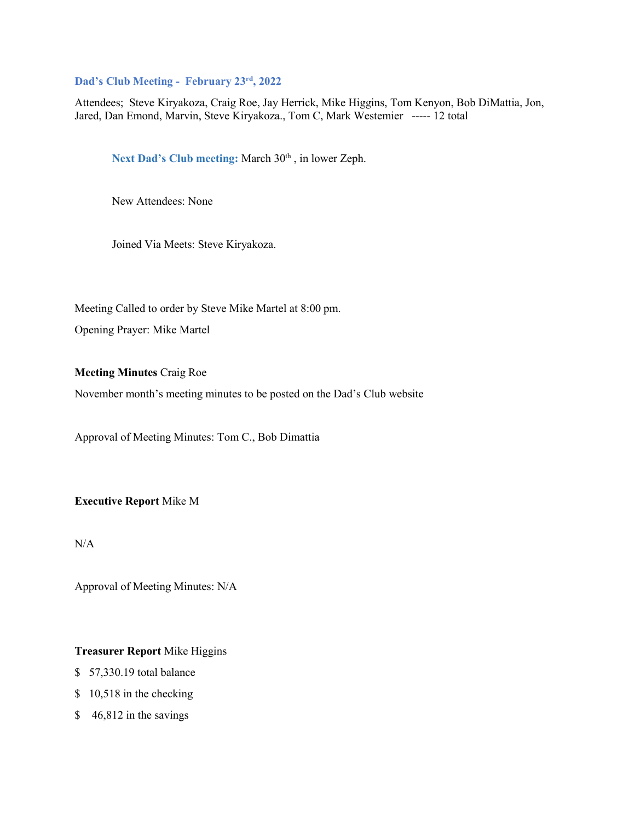# **Dad's Club Meeting - February 23rd, 2022**

Attendees; Steve Kiryakoza, Craig Roe, Jay Herrick, Mike Higgins, Tom Kenyon, Bob DiMattia, Jon, Jared, Dan Emond, Marvin, Steve Kiryakoza., Tom C, Mark Westemier ----- 12 total

Next Dad's Club meeting: March 30<sup>th</sup>, in lower Zeph.

New Attendees: None

Joined Via Meets: Steve Kiryakoza.

Meeting Called to order by Steve Mike Martel at 8:00 pm.

Opening Prayer: Mike Martel

**Meeting Minutes** Craig Roe

November month's meeting minutes to be posted on the Dad's Club website

Approval of Meeting Minutes: Tom C., Bob Dimattia

**Executive Report** Mike M

 $N/A$ 

Approval of Meeting Minutes: N/A

## **Treasurer Report** Mike Higgins

- \$ 57,330.19 total balance
- \$10,518 in the checking
- \$46,812 in the savings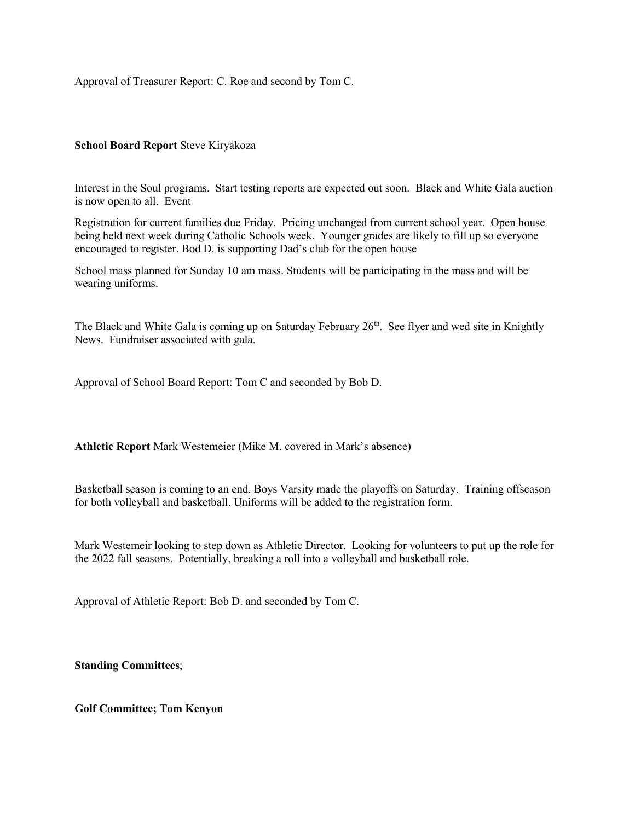Approval of Treasurer Report: C. Roe and second by Tom C.

# **School Board Report** Steve Kiryakoza

Interest in the Soul programs. Start testing reports are expected out soon. Black and White Gala auction is now open to all. Event

Registration for current families due Friday. Pricing unchanged from current school year. Open house being held next week during Catholic Schools week. Younger grades are likely to fill up so everyone encouraged to register. Bod D. is supporting Dad's club for the open house

School mass planned for Sunday 10 am mass. Students will be participating in the mass and will be wearing uniforms.

The Black and White Gala is coming up on Saturday February 26<sup>th</sup>. See flyer and wed site in Knightly News. Fundraiser associated with gala.

Approval of School Board Report: Tom C and seconded by Bob D.

**Athletic Report** Mark Westemeier (Mike M. covered in Mark's absence)

Basketball season is coming to an end. Boys Varsity made the playoffs on Saturday. Training offseason for both volleyball and basketball. Uniforms will be added to the registration form.

Mark Westemeir looking to step down as Athletic Director. Looking for volunteers to put up the role for the 2022 fall seasons. Potentially, breaking a roll into a volleyball and basketball role.

Approval of Athletic Report: Bob D. and seconded by Tom C.

**Standing Committees**;

**Golf Committee; Tom Kenyon**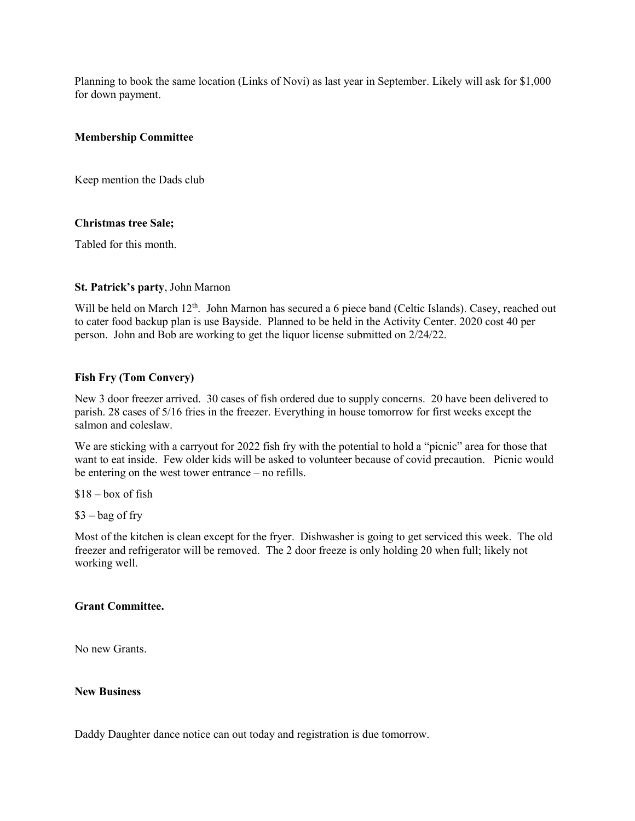Planning to book the same location (Links of Novi) as last year in September. Likely will ask for \$1,000 for down payment.

## **Membership Committee**

Keep mention the Dads club

#### **Christmas tree Sale;**

Tabled for this month.

#### **St. Patrick's party**, John Marnon

Will be held on March 12<sup>th</sup>. John Marnon has secured a 6 piece band (Celtic Islands). Casey, reached out to cater food backup plan is use Bayside. Planned to be held in the Activity Center. 2020 cost 40 per person. John and Bob are working to get the liquor license submitted on 2/24/22.

#### **Fish Fry (Tom Convery)**

New 3 door freezer arrived. 30 cases of fish ordered due to supply concerns. 20 have been delivered to parish. 28 cases of 5/16 fries in the freezer. Everything in house tomorrow for first weeks except the salmon and coleslaw.

We are sticking with a carryout for 2022 fish fry with the potential to hold a "picnic" area for those that want to eat inside. Few older kids will be asked to volunteer because of covid precaution. Picnic would be entering on the west tower entrance – no refills.

 $$18 - box of fish$ 

 $$3 - bag$  of fry

Most of the kitchen is clean except for the fryer. Dishwasher is going to get serviced this week. The old freezer and refrigerator will be removed. The 2 door freeze is only holding 20 when full; likely not working well.

#### **Grant Committee.**

No new Grants.

#### **New Business**

Daddy Daughter dance notice can out today and registration is due tomorrow.